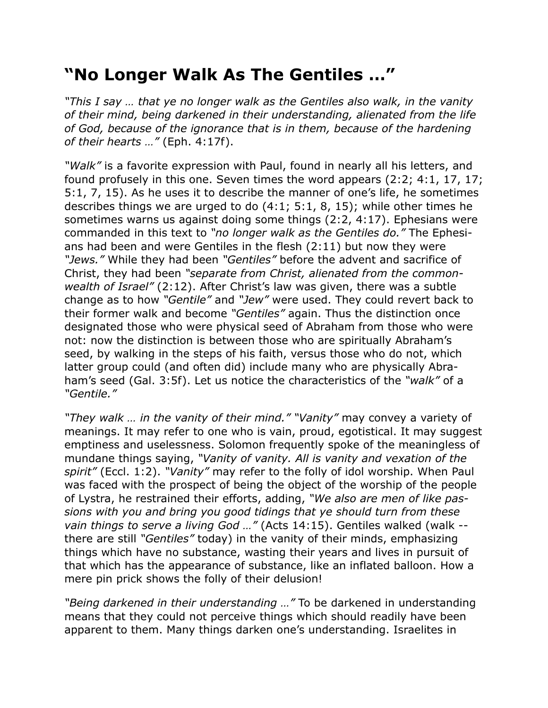## **"No Longer Walk As The Gentiles …"**

*"This I say … that ye no longer walk as the Gentiles also walk, in the vanity of their mind, being darkened in their understanding, alienated from the life of God, because of the ignorance that is in them, because of the hardening of their hearts …"* (Eph. 4:17f).

*"Walk"* is a favorite expression with Paul, found in nearly all his letters, and found profusely in this one. Seven times the word appears (2:2; 4:1, 17, 17; 5:1, 7, 15). As he uses it to describe the manner of one's life, he sometimes describes things we are urged to do (4:1; 5:1, 8, 15); while other times he sometimes warns us against doing some things (2:2, 4:17). Ephesians were commanded in this text to *"no longer walk as the Gentiles do."* The Ephesians had been and were Gentiles in the flesh (2:11) but now they were *"Jews."* While they had been *"Gentiles"* before the advent and sacrifice of Christ, they had been *"separate from Christ, alienated from the commonwealth of Israel"* (2:12). After Christ's law was given, there was a subtle change as to how *"Gentile"* and *"Jew"* were used. They could revert back to their former walk and become *"Gentiles"* again. Thus the distinction once designated those who were physical seed of Abraham from those who were not: now the distinction is between those who are spiritually Abraham's seed, by walking in the steps of his faith, versus those who do not, which latter group could (and often did) include many who are physically Abraham's seed (Gal. 3:5f). Let us notice the characteristics of the *"walk"* of a *"Gentile."*

*"They walk … in the vanity of their mind." "Vanity"* may convey a variety of meanings. It may refer to one who is vain, proud, egotistical. It may suggest emptiness and uselessness. Solomon frequently spoke of the meaningless of mundane things saying, *"Vanity of vanity. All is vanity and vexation of the spirit"* (Eccl. 1:2). *"Vanity"* may refer to the folly of idol worship. When Paul was faced with the prospect of being the object of the worship of the people of Lystra, he restrained their efforts, adding, *"We also are men of like passions with you and bring you good tidings that ye should turn from these vain things to serve a living God …"* (Acts 14:15). Gentiles walked (walk - there are still *"Gentiles"* today) in the vanity of their minds, emphasizing things which have no substance, wasting their years and lives in pursuit of that which has the appearance of substance, like an inflated balloon. How a mere pin prick shows the folly of their delusion!

*"Being darkened in their understanding …"* To be darkened in understanding means that they could not perceive things which should readily have been apparent to them. Many things darken one's understanding. Israelites in